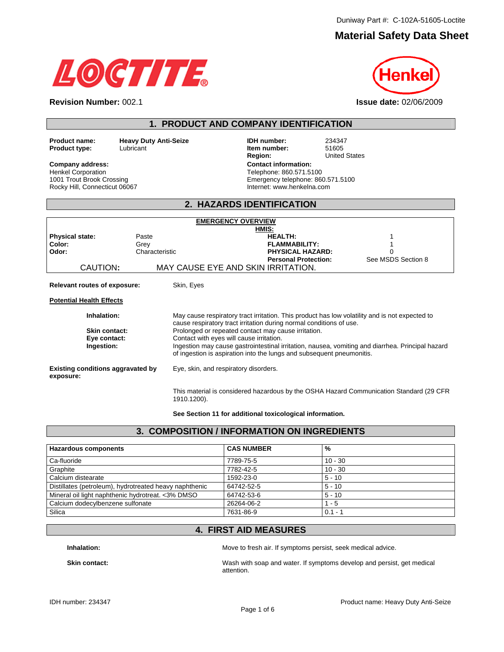# **Material Safety Data Sheet**



**Revision Number:** 002.1 **Issue date:** 02/06/2009

**1. PRODUCT AND COMPANY IDENTIFICATION** 

**Product name: Carry Puty Anti-Seize Communist Communist Communist Carry Product type:** 234347<br> **Product type:** Lubricant Lubist Lubset Communist Lubset Communist Lubset Communist Communist Communist Communist **Product type:** Lubricant **Item numbers:** European Lubricant **Item numbers:** 51605051.

Henkel Corporation 1001 Trout Brook Crossing Rocky Hill, Connecticut 06067

**United States Company address: Contact information:**  Telephone: 860.571.5100 Emergency telephone: 860.571.5100 Internet: www.henkelna.com

#### **2. HAZARDS IDENTIFICATION**

|                                                       |                | <b>EMERGENCY OVERVIEW</b>                                                                                                                                                 |                    |
|-------------------------------------------------------|----------------|---------------------------------------------------------------------------------------------------------------------------------------------------------------------------|--------------------|
|                                                       |                | HMIS:                                                                                                                                                                     |                    |
| <b>Physical state:</b>                                | Paste          | <b>HEALTH:</b>                                                                                                                                                            |                    |
| Color:                                                | Grey           | <b>FLAMMABILITY:</b>                                                                                                                                                      |                    |
| Odor:                                                 | Characteristic | <b>PHYSICAL HAZARD:</b>                                                                                                                                                   |                    |
| CAUTION:                                              |                | <b>Personal Protection:</b><br>MAY CAUSE EYE AND SKIN IRRITATION.                                                                                                         | See MSDS Section 8 |
|                                                       |                |                                                                                                                                                                           |                    |
| Relevant routes of exposure:                          | Skin, Eyes     |                                                                                                                                                                           |                    |
| <b>Potential Health Effects</b>                       |                |                                                                                                                                                                           |                    |
| Inhalation:                                           |                | May cause respiratory tract irritation. This product has low volatility and is not expected to<br>cause respiratory tract irritation during normal conditions of use.     |                    |
| <b>Skin contact:</b>                                  |                | Prolonged or repeated contact may cause irritation.                                                                                                                       |                    |
| Eye contact:                                          |                | Contact with eyes will cause irritation.                                                                                                                                  |                    |
| Ingestion:                                            |                | Ingestion may cause gastrointestinal irritation, nausea, vomiting and diarrhea. Principal hazard<br>of ingestion is aspiration into the lungs and subsequent pneumonitis. |                    |
| <b>Existing conditions aggravated by</b><br>exposure: |                | Eye, skin, and respiratory disorders.                                                                                                                                     |                    |
|                                                       | 1910.1200).    | This material is considered hazardous by the OSHA Hazard Communication Standard (29 CFR                                                                                   |                    |

**See Section 11 for additional toxicological information.** 

#### **3. COMPOSITION / INFORMATION ON INGREDIENTS**

| <b>Hazardous components</b>                            | <b>CAS NUMBER</b> | %         |
|--------------------------------------------------------|-------------------|-----------|
| Ca-fluoride                                            | 7789-75-5         | $10 - 30$ |
| Graphite                                               | 7782-42-5         | $10 - 30$ |
| Calcium distearate                                     | 1592-23-0         | $5 - 10$  |
| Distillates (petroleum), hydrotreated heavy naphthenic | 64742-52-5        | $5 - 10$  |
| Mineral oil light naphthenic hydrotreat. < 3% DMSO     | 64742-53-6        | $5 - 10$  |
| Calcium dodecylbenzene sulfonate                       | 26264-06-2        | $1 - 5$   |
| Silica                                                 | 7631-86-9         | $0.1 - 1$ |

### **4. FIRST AID MEASURES**

**Inhalation: Inhalation: Move to fresh air. If symptoms persist, seek medical advice.** 

Skin contact: **Wash with soap and water. If symptoms develop and persist, get medical** attention.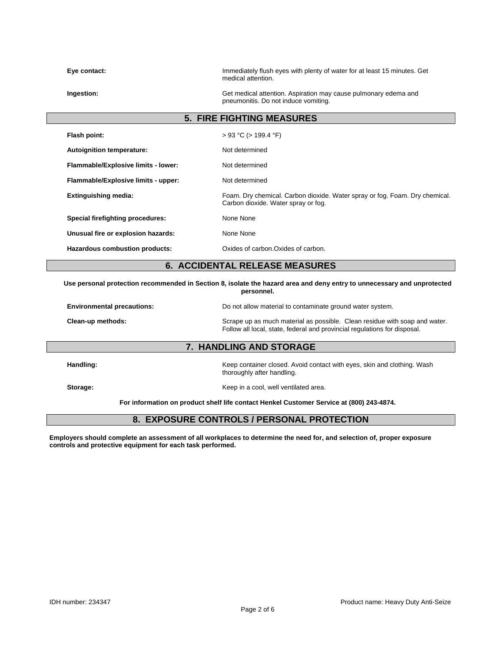| Eye contact:                        | Immediately flush eyes with plenty of water for at least 15 minutes. Get<br>medical attention.                     |
|-------------------------------------|--------------------------------------------------------------------------------------------------------------------|
| Ingestion:                          | Get medical attention. Aspiration may cause pulmonary edema and<br>pneumonitis. Do not induce vomiting.            |
|                                     | <b>5. FIRE FIGHTING MEASURES</b>                                                                                   |
| Flash point:                        | $> 93$ °C ( $> 199.4$ °F)                                                                                          |
| Autoignition temperature:           | Not determined                                                                                                     |
| Flammable/Explosive limits - lower: | Not determined                                                                                                     |
| Flammable/Explosive limits - upper: | Not determined                                                                                                     |
| <b>Extinguishing media:</b>         | Foam. Dry chemical. Carbon dioxide. Water spray or fog. Foam. Dry chemical.<br>Carbon dioxide. Water spray or fog. |
| Special firefighting procedures:    | None None                                                                                                          |
| Unusual fire or explosion hazards:  | None None                                                                                                          |
| Hazardous combustion products:      | Oxides of carbon. Oxides of carbon.                                                                                |
|                                     | <b>6. ACCIDENTAL RELEASE MEASURES</b>                                                                              |

**Use personal protection recommended in Section 8, isolate the hazard area and deny entry to unnecessary and unprotected personnel.** 

| <b>Environmental precautions:</b> | Do not allow material to contaminate ground water system.                                                                                               |
|-----------------------------------|---------------------------------------------------------------------------------------------------------------------------------------------------------|
| Clean-up methods:                 | Scrape up as much material as possible. Clean residue with soap and water.<br>Follow all local, state, federal and provincial regulations for disposal. |

#### **7. HANDLING AND STORAGE**

**Handling:** Keep container closed. Avoid contact with eyes, skin and clothing. Wash thoroughly after handling.

**Storage:** Storage: The state of the state of the Keep in a cool, well ventilated area.

**For information on product shelf life contact Henkel Customer Service at (800) 243-4874.** 

### **8. EXPOSURE CONTROLS / PERSONAL PROTECTION**

**Employers should complete an assessment of all workplaces to determine the need for, and selection of, proper exposure controls and protective equipment for each task performed.**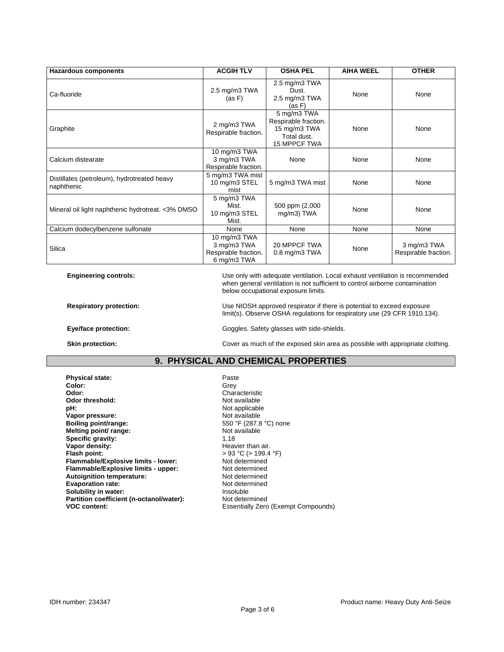| <b>Hazardous components</b>                               | <b>ACGIH TLV</b>                                                   | <b>OSHA PEL</b>                                                                    | <b>AIHA WEEL</b> | <b>OTHER</b>                        |
|-----------------------------------------------------------|--------------------------------------------------------------------|------------------------------------------------------------------------------------|------------------|-------------------------------------|
| Ca-fluoride                                               | 2.5 mg/m3 TWA<br>(as F)                                            | 2.5 mg/m3 TWA<br>Dust.<br>2.5 mg/m3 TWA<br>(as F)                                  | None             | None                                |
| Graphite                                                  | 2 mg/m3 TWA<br>Respirable fraction.                                | 5 mg/m3 TWA<br>Respirable fraction.<br>15 mg/m3 TWA<br>Total dust.<br>15 MPPCF TWA | None             | None                                |
| Calcium distearate                                        | 10 mg/m3 TWA<br>3 mg/m3 TWA<br>Respirable fraction.                | None                                                                               | None             | None                                |
| Distillates (petroleum), hydrotreated heavy<br>naphthenic | 5 mg/m3 TWA mist<br>10 mg/m3 STEL<br>mist                          | 5 mg/m3 TWA mist                                                                   | None             | None                                |
| Mineral oil light naphthenic hydrotreat. <3% DMSO         | 5 mg/m3 TWA<br>Mist.<br>10 mg/m3 STEL<br>Mist.                     | 500 ppm (2,000<br>mg/m3) TWA                                                       | None             | None                                |
| Calcium dodecylbenzene sulfonate                          | None                                                               | None                                                                               | None             | None                                |
| Silica                                                    | 10 mg/m3 TWA<br>3 mg/m3 TWA<br>Respirable fraction.<br>6 mg/m3 TWA | 20 MPPCF TWA<br>$0.8$ mg/m $3$ TWA                                                 | None             | 3 mg/m3 TWA<br>Respirable fraction. |

**Engineering controls:** Use only with adequate ventilation. Local exhaust ventilation is recommended when general ventilation is not sufficient to control airborne contamination below occupational exposure limits.

**Respiratory protection:** Use NIOSH approved respirator if there is potential to exceed exposure

**Eye/face protection: Goggles.** Safety glasses with side-shields.

limit(s). Observe OSHA regulations for respiratory use (29 CFR 1910.134).

**Skin protection: Cover as much of the exposed skin area as possible with appropriate clothing.** 

#### **9. PHYSICAL AND CHEMICAL PROPERTIES**

**Physical state:** Paste Paste<br> **Color:** Color: Color: Paste Paste Paste Paste Paste Paste Paste Paste Paste Paste Paste Paste Paste Paste Paste Paste Paste Paste Paste Paste Paste Paste Paste Paste Paste Paste Paste Paste **Color:** Grey Grey Color: **Odor:** Characteristic Codor threshold: Characteristic Codor threshold: **Odor threshold: pH:**<br> **Vapor pressure:**<br> **Vapor pressure:**<br> **Vapor pressure: Vapor pressure:**<br>Boiling point/range: **Melting point/ range: Not available Not available Specific gravity:** 1.18 **Vapor density: Heavier than air.**<br> **Flash point:**  $>93 °C > 199.4$ **Flammable/Explosive limits - lower:** Not determined<br> **Flammable/Explosive limits - upper:** Not determined **Flammable/Explosive limits - upper:** Not determined<br> **Autoignition temperature:** Not determined Autoignition temperature:<br> **Evaporation rate:** Not determined<br>
Not determined **Evaporation rate:** Not determined the Solubility in water: **Notify and Solubility in Solubility in Solubility in Solubile Solubility in water: Insoluble** Insoluble<br> **Partition coefficient (n-octanol/water):** Not determined Partition coefficient (n-octanol/water):<br>VOC content:

550 °F (287.8 °C) none<br>Not available **Figure 193 °C (> 199.4 °F)**<br>Not determined **Essentially Zero (Exempt Compounds)**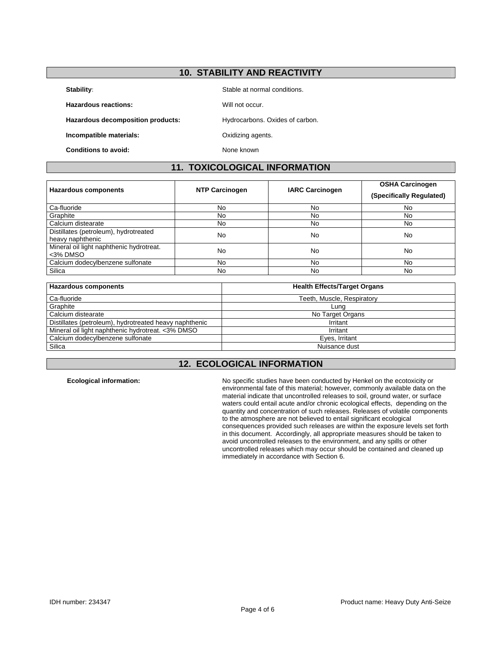### **10. STABILITY AND REACTIVITY**

**Stability:** Stable at normal conditions.

**Hazardous reactions: Will not occur.** 

Hazardous decomposition products: **Hydrocarbons.** Oxides of carbon.

**Incompatible materials: Calculated Discovery Constrainers** Oxidizing agents.

**Conditions to avoid:** None known

## **11. TOXICOLOGICAL INFORMATION**

| <b>Hazardous components</b>                               | <b>NTP Carcinogen</b> | <b>IARC Carcinogen</b> | <b>OSHA Carcinogen</b><br>(Specifically Regulated) |
|-----------------------------------------------------------|-----------------------|------------------------|----------------------------------------------------|
| Ca-fluoride                                               | No                    | No                     | No                                                 |
| Graphite                                                  | No                    | No                     | No.                                                |
| Calcium distearate                                        | <b>No</b>             | No                     | <b>No</b>                                          |
| Distillates (petroleum), hydrotreated<br>heavy naphthenic | No                    | No                     | No                                                 |
| Mineral oil light naphthenic hydrotreat.<br><3% DMSO      | No                    | No                     | No                                                 |
| Calcium dodecylbenzene sulfonate                          | No                    | No                     | No.                                                |
| Silica                                                    | No.                   | No                     | No.                                                |

| <b>Hazardous components</b>                            | <b>Health Effects/Target Organs</b> |
|--------------------------------------------------------|-------------------------------------|
| Ca-fluoride                                            | Teeth, Muscle, Respiratory          |
| Graphite                                               | Luna                                |
| Calcium distearate                                     | No Target Organs                    |
| Distillates (petroleum), hydrotreated heavy naphthenic | Irritant                            |
| Mineral oil light naphthenic hydrotreat. <3% DMSO      | Irritant                            |
| Calcium dodecylbenzene sulfonate                       | Eyes, Irritant                      |
| Silica                                                 | Nuisance dust                       |

# **12. ECOLOGICAL INFORMATION**

**Ecological information:** No specific studies have been conducted by Henkel on the ecotoxicity or environmental fate of this material; however, commonly available data on the material indicate that uncontrolled releases to soil, ground water, or surface waters could entail acute and/or chronic ecological effects, depending on the quantity and concentration of such releases. Releases of volatile components to the atmosphere are not believed to entail significant ecological consequences provided such releases are within the exposure levels set forth in this document. Accordingly, all appropriate measures should be taken to avoid uncontrolled releases to the environment, and any spills or other uncontrolled releases which may occur should be contained and cleaned up immediately in accordance with Section 6.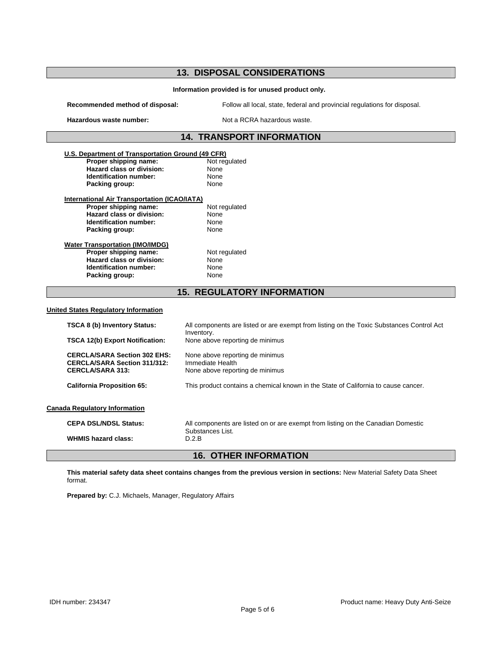# **13. DISPOSAL CONSIDERATIONS**

#### **Information provided is for unused product only.**

**Recommended method of disposal:** Follow all local, state, federal and provincial regulations for disposal.

Hazardous waste number: Not a RCRA hazardous waste.

### **14. TRANSPORT INFORMATION**

| U.S. Department of Transportation Ground (49 CFR)   |                                                                                                                       |
|-----------------------------------------------------|-----------------------------------------------------------------------------------------------------------------------|
| Proper shipping name:                               | Not regulated                                                                                                         |
| Hazard class or division:                           | None                                                                                                                  |
| Identification number:                              | None                                                                                                                  |
| Packing group:                                      | None                                                                                                                  |
| <b>International Air Transportation (ICAO/IATA)</b> |                                                                                                                       |
| Proper shipping name:                               | Not regulated                                                                                                         |
| Hazard class or division:                           | None                                                                                                                  |
| Identification number:                              | None                                                                                                                  |
| Packing group:                                      | None                                                                                                                  |
| <b>Water Transportation (IMO/IMDG)</b>              |                                                                                                                       |
| Proper shipping name:                               | Not regulated                                                                                                         |
| <b>Hazard class or division:</b>                    | None                                                                                                                  |
| Identification number:                              | None                                                                                                                  |
| Packing group:                                      | None                                                                                                                  |
|                                                     | <b>15. REGULATORY INFORMATION</b>                                                                                     |
|                                                     |                                                                                                                       |
| <b>United States Requlatory Information</b>         |                                                                                                                       |
| <b>TSCA 8 (b) Inventory Status:</b>                 |                                                                                                                       |
|                                                     | Inventory.                                                                                                            |
| <b>TSCA 12(b) Export Notification:</b>              | None above reporting de minimus                                                                                       |
| <b>CERCLA/SARA Section 302 EHS:</b>                 | None above reporting de minimus                                                                                       |
| <b>CERCLA/SARA Section 311/312:</b>                 | Immediate Health                                                                                                      |
| <b>CERCLA/SARA 313:</b>                             | None above reporting de minimus                                                                                       |
| <b>California Proposition 65:</b>                   | This product contains a chemical known in the State of California to cause cancer.                                    |
| <b>Canada Regulatory Information</b>                |                                                                                                                       |
|                                                     |                                                                                                                       |
| <b>CEPA DSL/NDSL Status:</b>                        | All components are listed on or are exempt from listing on the Canadian Domestic                                      |
| <b>WHMIS hazard class:</b>                          | All components are listed or are exempt from listing on the Toxic Substances Control Act<br>Substances List.<br>D.2.B |

**This material safety data sheet contains changes from the previous version in sections:** New Material Safety Data Sheet format.

**Prepared by:** C.J. Michaels, Manager, Regulatory Affairs